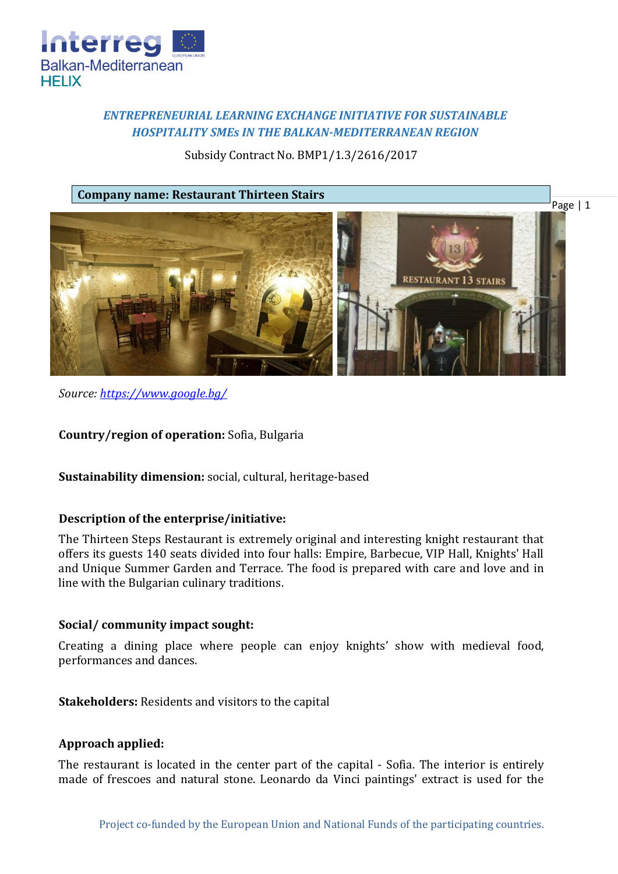

# *ENTREPRENEURIAL LEARNING EXCHANGE INITIATIVE FOR SUSTAINABLE HOSPITALITY SMEs IN THE BALKAN-MEDITERRANEAN REGION*

Subsidy Contract No. BMP1/1.3/2616/2017

**Company name: Restaurant Thirteen Stairs**



*Source: [https://www.google.bg/](https://www.google.bg/search?q=%D0%A0%D0%B5%D1%81%D1%82%D0%BE%D1%80%D0%B0%D0%BD%D1%82+%E2%80%9E%D0%A2%D1%80%D0%B8%D0%BD%D0%B0%D0%B4%D0%B5%D1%81%D0%B5%D1%82%D1%82%D0%B5+%D1%81%D1%82%D1%8A%D0%BF%D0%B0%D0%BB%D0%B0%E2%80%9D&source=lnms&tbm=isch&sa=X&ved=0ahUKEwjQtfKuzcjZAhWLWywKHYniAxcQ_AUICigB&biw=1440&bih=794#imgrc=ADXvXl_zM-OCeM)*

**Country/region of operation:** Sofia, Bulgaria

**Sustainability dimension:** social, cultural, heritage-based

## **Description of the enterprise/initiative:**

The Thirteen Steps Restaurant is extremely original and interesting knight restaurant that offers its guests 140 seats divided into four halls: Empire, Barbecue, VIP Hall, Knights' Hall and Unique Summer Garden and Terrace. The food is prepared with care and love and in line with the Bulgarian culinary traditions.

#### **Social/ community impact sought:**

Creating a dining place where people can enjoy knights' show with medieval food, performances and dances.

**Stakeholders:** Residents and visitors to the capital

#### **Approach applied:**

The restaurant is located in the center part of the capital - Sofia. The interior is entirely made of frescoes and natural stone. Leonardo da Vinci paintings' extract is used for the